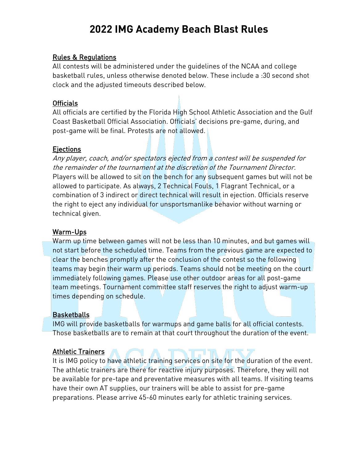# **2022 IMG Academy Beach Blast Rules**

#### Rules & Regulations

All contests will be administered under the guidelines of the NCAA and college basketball rules, unless otherwise denoted below. These include a :30 second shot clock and the adjusted timeouts described below.

#### Officials

All officials are certified by the Florida High School Athletic Association and the Gulf Coast Basketball Official Association. Officials' decisions pre-game, during, and post-game will be final. Protests are not allowed.

#### Ejections

Any player, coach, and/or spectators ejected from a contest will be suspended for the remainder of the tournament at the discretion of the Tournament Director. Players will be allowed to sit on the bench for any subsequent games but will not be allowed to participate. As always, 2 Technical Fouls, 1 Flagrant Technical, or a combination of 3 indirect or direct technical will result in ejection. Officials reserve the right to eject any individual for unsportsmanlike behavior without warning or technical given.

#### Warm-Ups

Warm up time between games will not be less than 10 minutes, and but games will not start before the scheduled time. Teams from the previous game are expected to clear the benches promptly after the conclusion of the contest so the following teams may begin their warm up periods. Teams should not be meeting on the court immediately following games. Please use other outdoor areas for all post-game team meetings. Tournament committee staff reserves the right to adjust warm-up times depending on schedule.

#### **Basketballs**

IMG will provide basketballs for warmups and game balls for all official contests. Those basketballs are to remain at that court throughout the duration of the event.

#### Athletic Trainers

It is IMG policy to have athletic training services on site for the duration of the event. The athletic trainers are there for reactive injury purposes. Therefore, they will not be available for pre-tape and preventative measures with all teams. If visiting teams have their own AT supplies, our trainers will be able to assist for pre-game preparations. Please arrive 45-60 minutes early for athletic training services.